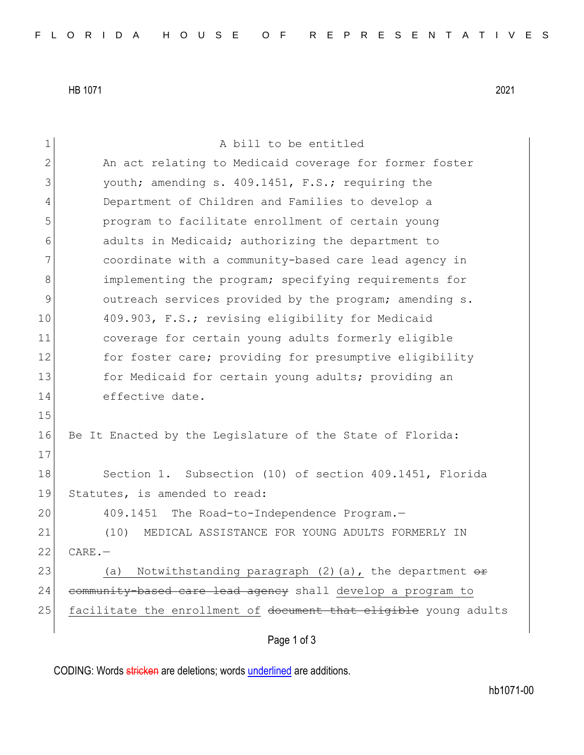HB 1071 2021

| $\mathbf 1$   | A bill to be entitled                                               |
|---------------|---------------------------------------------------------------------|
| $\mathbf{2}$  | An act relating to Medicaid coverage for former foster              |
| 3             | youth; amending s. 409.1451, F.S.; requiring the                    |
| 4             | Department of Children and Families to develop a                    |
| 5             | program to facilitate enrollment of certain young                   |
| 6             | adults in Medicaid; authorizing the department to                   |
| 7             | coordinate with a community-based care lead agency in               |
| 8             | implementing the program; specifying requirements for               |
| $\mathcal{G}$ | outreach services provided by the program; amending s.              |
| 10            | 409.903, F.S.; revising eligibility for Medicaid                    |
| 11            | coverage for certain young adults formerly eligible                 |
| 12            | for foster care; providing for presumptive eligibility              |
| 13            | for Medicaid for certain young adults; providing an                 |
| 14            | effective date.                                                     |
| 15            |                                                                     |
| 16            | Be It Enacted by the Legislature of the State of Florida:           |
| 17            |                                                                     |
| 18            | Section 1. Subsection (10) of section 409.1451, Florida             |
| 19            | Statutes, is amended to read:                                       |
| 20            | 409.1451 The Road-to-Independence Program.-                         |
| 21            | MEDICAL ASSISTANCE FOR YOUNG ADULTS FORMERLY IN<br>(10)             |
| 22            | $CARE. -$                                                           |
| 23            | Notwithstanding paragraph $(2)$ (a), the department $\theta$<br>(a) |
| 24            | community-based care lead agency shall develop a program to         |
| 25            | facilitate the enrollment of document that eligible young adults    |
|               | Page 1 of 3                                                         |

CODING: Words stricken are deletions; words underlined are additions.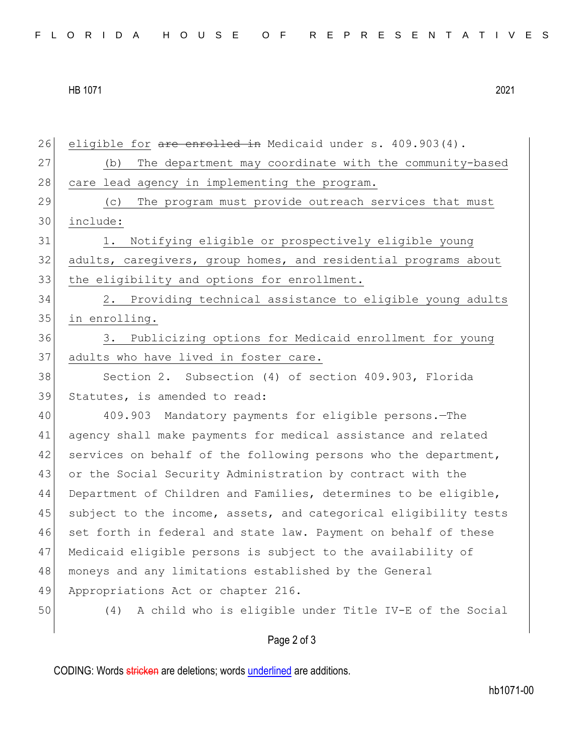## HB 1071 2021

| 26 | eligible for are enrolled in Medicaid under s. 409.903(4).       |
|----|------------------------------------------------------------------|
| 27 | The department may coordinate with the community-based<br>(b)    |
| 28 | care lead agency in implementing the program.                    |
| 29 | The program must provide outreach services that must<br>(C)      |
| 30 | include:                                                         |
| 31 | Notifying eligible or prospectively eligible young<br>1.         |
| 32 | adults, caregivers, group homes, and residential programs about  |
| 33 | the eligibility and options for enrollment.                      |
| 34 | 2. Providing technical assistance to eligible young adults       |
| 35 | in enrolling.                                                    |
| 36 | Publicizing options for Medicaid enrollment for young<br>3.      |
| 37 | adults who have lived in foster care.                            |
| 38 | Section 2. Subsection (4) of section 409.903, Florida            |
| 39 | Statutes, is amended to read:                                    |
| 40 | 409.903 Mandatory payments for eligible persons. - The           |
| 41 | agency shall make payments for medical assistance and related    |
| 42 | services on behalf of the following persons who the department,  |
| 43 | or the Social Security Administration by contract with the       |
| 44 | Department of Children and Families, determines to be eligible,  |
| 45 | subject to the income, assets, and categorical eligibility tests |
| 46 | set forth in federal and state law. Payment on behalf of these   |
| 47 | Medicaid eligible persons is subject to the availability of      |
| 48 | moneys and any limitations established by the General            |
| 49 | Appropriations Act or chapter 216.                               |
| 50 | A child who is eligible under Title IV-E of the Social<br>(4)    |
|    |                                                                  |

## Page 2 of 3

CODING: Words stricken are deletions; words underlined are additions.